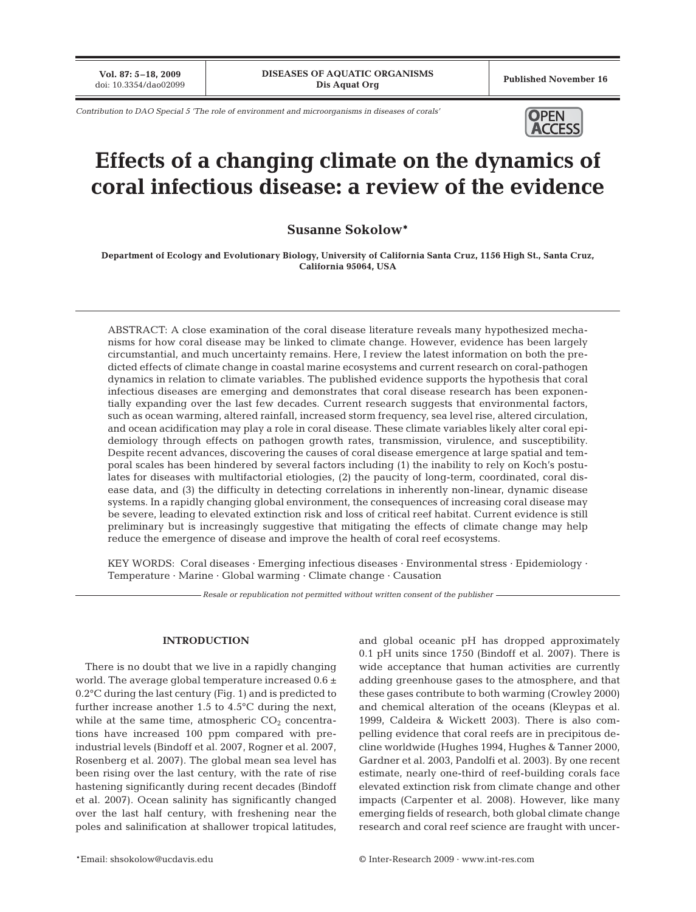**Vol. 87: 5–18, 2009**

*Contribution to DAO Special 5 'The role of environment and microorganisms in diseases of corals'* **OPEN** 



# **Effects of a changing climate on the dynamics of coral infectious disease: a review of the evidence**

**Susanne Sokolow\***

**Department of Ecology and Evolutionary Biology, University of California Santa Cruz, 1156 High St., Santa Cruz, California 95064, USA**

ABSTRACT: A close examination of the coral disease literature reveals many hypothesized mechanisms for how coral disease may be linked to climate change. However, evidence has been largely circumstantial, and much uncertainty remains. Here, I review the latest information on both the predicted effects of climate change in coastal marine ecosystems and current research on coral-pathogen dynamics in relation to climate variables. The published evidence supports the hypothesis that coral infectious diseases are emerging and demonstrates that coral disease research has been exponentially expanding over the last few decades. Current research suggests that environmental factors, such as ocean warming, altered rainfall, increased storm frequency, sea level rise, altered circulation, and ocean acidification may play a role in coral disease. These climate variables likely alter coral epidemiology through effects on pathogen growth rates, transmission, virulence, and susceptibility. Despite recent advances, discovering the causes of coral disease emergence at large spatial and temporal scales has been hindered by several factors including (1) the inability to rely on Koch's postulates for diseases with multifactorial etiologies, (2) the paucity of long-term, coordinated, coral disease data, and (3) the difficulty in detecting correlations in inherently non-linear, dynamic disease systems. In a rapidly changing global environment, the consequences of increasing coral disease may be severe, leading to elevated extinction risk and loss of critical reef habitat. Current evidence is still preliminary but is increasingly suggestive that mitigating the effects of climate change may help reduce the emergence of disease and improve the health of coral reef ecosystems.

KEY WORDS: Coral diseases · Emerging infectious diseases · Environmental stress · Epidemiology · Temperature · Marine · Global warming · Climate change · Causation

*Resale or republication not permitted without written consent of the publisher*

# **INTRODUCTION**

There is no doubt that we live in a rapidly changing world. The average global temperature increased 0.6 ± 0.2°C during the last century (Fig. 1) and is predicted to further increase another 1.5 to 4.5°C during the next, while at the same time, atmospheric  $CO<sub>2</sub>$  concentrations have increased 100 ppm compared with preindustrial levels (Bindoff et al. 2007, Rogner et al. 2007, Rosenberg et al. 2007). The global mean sea level has been rising over the last century, with the rate of rise hastening significantly during recent decades (Bindoff et al. 2007). Ocean salinity has significantly changed over the last half century, with freshening near the poles and salinification at shallower tropical latitudes,

and global oceanic pH has dropped approximately 0.1 pH units since 1750 (Bindoff et al. 2007). There is wide acceptance that human activities are currently adding greenhouse gases to the atmosphere, and that these gases contribute to both warming (Crowley 2000) and chemical alteration of the oceans (Kleypas et al. 1999, Caldeira & Wickett 2003). There is also compelling evidence that coral reefs are in precipitous decline worldwide (Hughes 1994, Hughes & Tanner 2000, Gardner et al. 2003, Pandolfi et al. 2003). By one recent estimate, nearly one-third of reef-building corals face elevated extinction risk from climate change and other impacts (Carpenter et al. 2008). However, like many emerging fields of research, both global climate change research and coral reef science are fraught with uncer-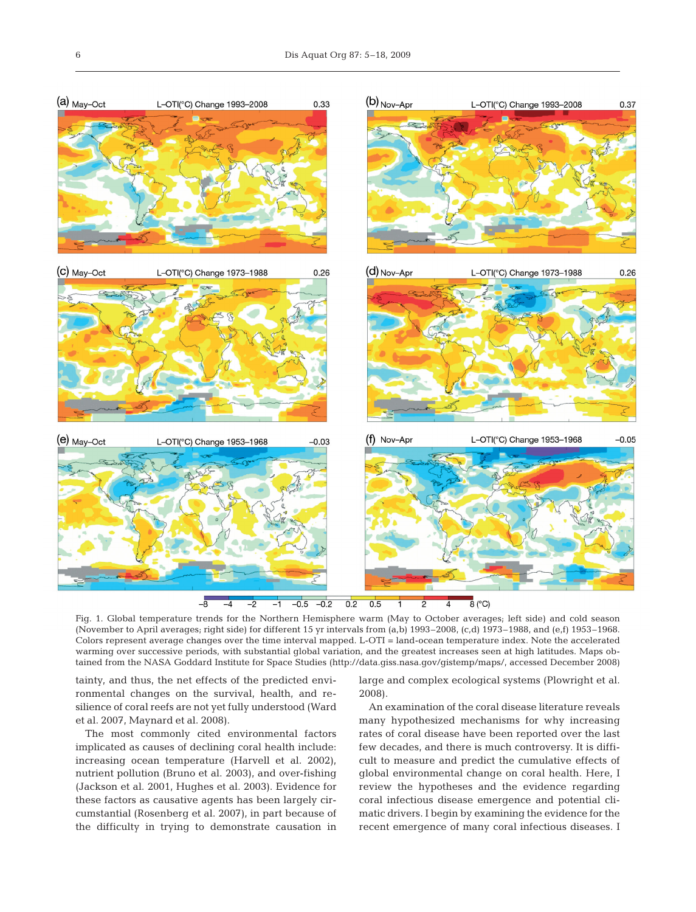

Fig. 1. Global temperature trends for the Northern Hemisphere warm (May to October averages; left side) and cold season (November to April averages; right side) for different 15 yr intervals from (a,b) 1993–2008, (c,d) 1973–1988, and (e,f) 1953–1968. Colors represent average changes over the time interval mapped. L-OTI = land-ocean temperature index. Note the accelerated warming over successive periods, with substantial global variation, and the greatest increases seen at high latitudes. Maps obtained from the NASA Goddard Institute for Space Studies (http://data.giss.nasa.gov/gistemp/maps/, accessed December 2008)

tainty, and thus, the net effects of the predicted environmental changes on the survival, health, and resilience of coral reefs are not yet fully understood (Ward et al. 2007, Maynard et al. 2008).

The most commonly cited environmental factors implicated as causes of declining coral health include: increasing ocean temperature (Harvell et al. 2002), nutrient pollution (Bruno et al. 2003), and over-fishing (Jackson et al. 2001, Hughes et al. 2003). Evidence for these factors as causative agents has been largely circumstantial (Rosenberg et al. 2007), in part because of the difficulty in trying to demonstrate causation in

large and complex ecological systems (Plowright et al. 2008).

An examination of the coral disease literature reveals many hypothesized mechanisms for why increasing rates of coral disease have been reported over the last few decades, and there is much controversy. It is difficult to measure and predict the cumulative effects of global environmental change on coral health. Here, I review the hypotheses and the evidence regarding coral infectious disease emergence and potential climatic drivers. I begin by examining the evidence for the recent emergence of many coral infectious diseases. I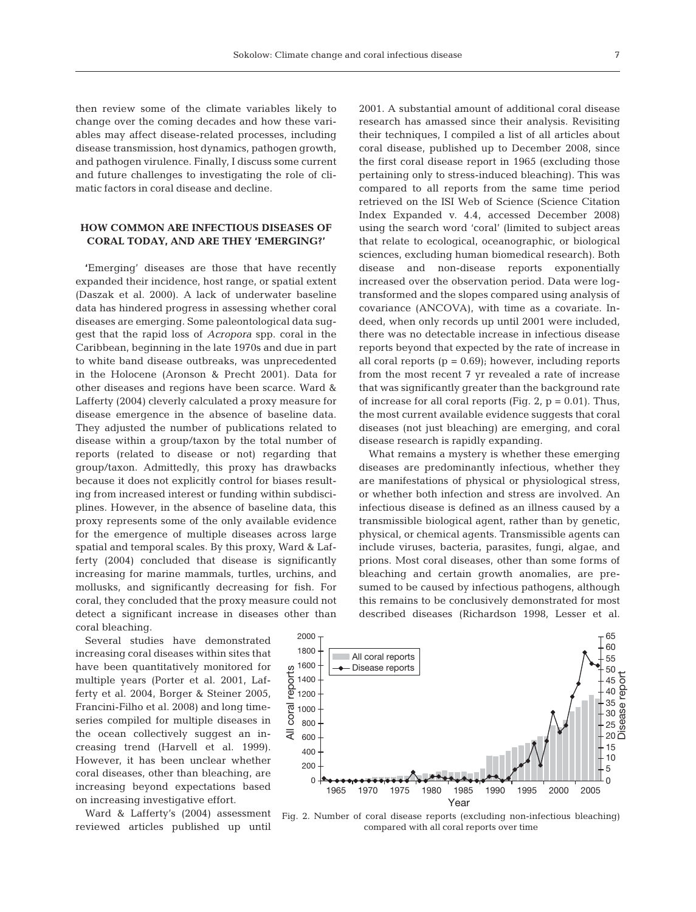then review some of the climate variables likely to change over the coming decades and how these variables may affect disease-related processes, including disease transmission, host dynamics, pathogen growth, and pathogen virulence. Finally, I discuss some current and future challenges to investigating the role of climatic factors in coral disease and decline.

## **HOW COMMON ARE INFECTIOUS DISEASES OF CORAL TODAY, AND ARE THEY 'EMERGING?'**

**'**Emerging' diseases are those that have recently expanded their incidence, host range, or spatial extent (Daszak et al. 2000). A lack of underwater baseline data has hindered progress in assessing whether coral diseases are emerging. Some paleontological data suggest that the rapid loss of *Acropora* spp. coral in the Caribbean, beginning in the late 1970s and due in part to white band disease outbreaks, was unprecedented in the Holocene (Aronson & Precht 2001). Data for other diseases and regions have been scarce. Ward & Lafferty (2004) cleverly calculated a proxy measure for disease emergence in the absence of baseline data. They adjusted the number of publications related to disease within a group/taxon by the total number of reports (related to disease or not) regarding that group/taxon. Admittedly, this proxy has drawbacks because it does not explicitly control for biases resulting from increased interest or funding within subdisciplines. However, in the absence of baseline data, this proxy represents some of the only available evidence for the emergence of multiple diseases across large spatial and temporal scales. By this proxy, Ward & Lafferty (2004) concluded that disease is significantly increasing for marine mammals, turtles, urchins, and mollusks, and significantly decreasing for fish. For coral, they concluded that the proxy measure could not detect a significant increase in diseases other than coral bleaching.

Several studies have demonstrated increasing coral diseases within sites that have been quantitatively monitored for multiple years (Porter et al. 2001, Lafferty et al. 2004, Borger & Steiner 2005, Francini-Filho et al. 2008) and long timeseries compiled for multiple diseases in the ocean collectively suggest an increasing trend (Harvell et al. 1999). However, it has been unclear whether coral diseases, other than bleaching, are increasing beyond expectations based on increasing investigative effort.

Ward & Lafferty's (2004) assessment reviewed articles published up until

2001. A substantial amount of additional coral disease research has amassed since their analysis. Revisiting their techniques, I compiled a list of all articles about coral disease, published up to December 2008, since the first coral disease report in 1965 (excluding those pertaining only to stress-induced bleaching). This was compared to all reports from the same time period retrieved on the ISI Web of Science (Science Citation Index Expanded v. 4.4, accessed December 2008) using the search word 'coral' (limited to subject areas that relate to ecological, oceanographic, or biological sciences, excluding human biomedical research). Both disease and non-disease reports exponentially increased over the observation period. Data were logtransformed and the slopes compared using analysis of covariance (ANCOVA), with time as a covariate. Indeed, when only records up until 2001 were included, there was no detectable increase in infectious disease reports beyond that expected by the rate of increase in all coral reports  $(p = 0.69)$ ; however, including reports from the most recent 7 yr revealed a rate of increase that was significantly greater than the background rate of increase for all coral reports (Fig.  $2$ ,  $p = 0.01$ ). Thus, the most current available evidence suggests that coral diseases (not just bleaching) are emerging, and coral disease research is rapidly expanding.

What remains a mystery is whether these emerging diseases are predominantly infectious, whether they are manifestations of physical or physiological stress, or whether both infection and stress are involved. An infectious disease is defined as an illness caused by a transmissible biological agent, rather than by genetic, physical, or chemical agents. Transmissible agents can include viruses, bacteria, parasites, fungi, algae, and prions. Most coral diseases, other than some forms of bleaching and certain growth anomalies, are presumed to be caused by infectious pathogens, although this remains to be conclusively demonstrated for most described diseases (Richardson 1998, Lesser et al.



Fig. 2. Number of coral disease reports (excluding non-infectious bleaching) compared with all coral reports over time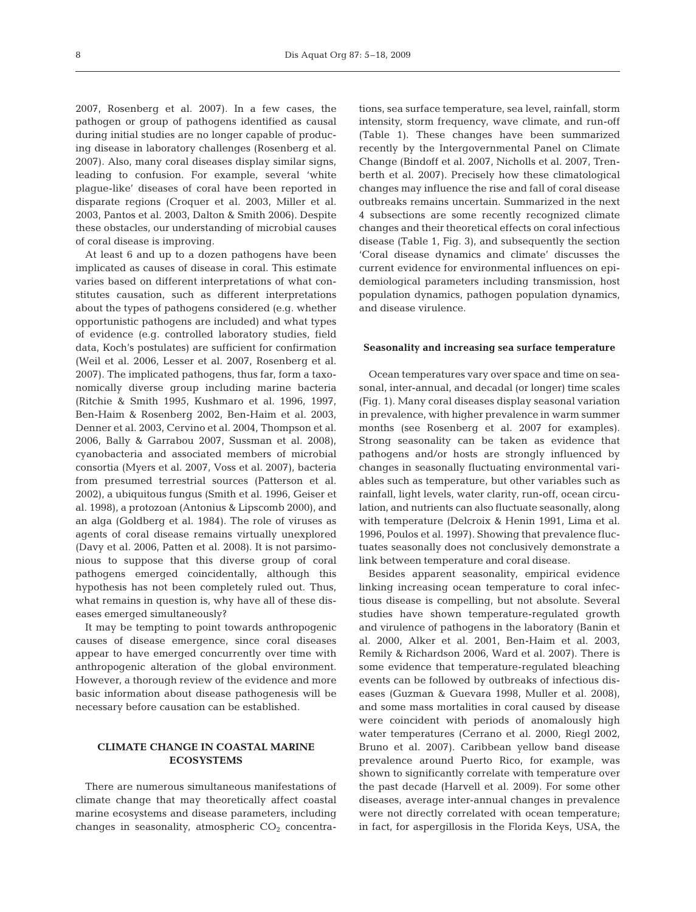2007, Rosenberg et al. 2007). In a few cases, the pathogen or group of pathogens identified as causal during initial studies are no longer capable of producing disease in laboratory challenges (Rosenberg et al. 2007). Also, many coral diseases display similar signs, leading to confusion. For example, several 'white plague-like' diseases of coral have been reported in disparate regions (Croquer et al. 2003, Miller et al. 2003, Pantos et al. 2003, Dalton & Smith 2006). Despite these obstacles, our understanding of microbial causes of coral disease is improving.

At least 6 and up to a dozen pathogens have been implicated as causes of disease in coral. This estimate varies based on different interpretations of what constitutes causation, such as different interpretations about the types of pathogens considered (e.g. whether opportunistic pathogens are included) and what types of evidence (e.g. controlled laboratory studies, field data, Koch's postulates) are sufficient for confirmation (Weil et al. 2006, Lesser et al. 2007, Rosenberg et al. 2007). The implicated pathogens, thus far, form a taxonomically diverse group including marine bacteria (Ritchie & Smith 1995, Kushmaro et al. 1996, 1997, Ben-Haim & Rosenberg 2002, Ben-Haim et al. 2003, Denner et al. 2003, Cervino et al. 2004, Thompson et al. 2006, Bally & Garrabou 2007, Sussman et al. 2008), cyanobacteria and associated members of microbial consortia (Myers et al. 2007, Voss et al. 2007), bacteria from presumed terrestrial sources (Patterson et al. 2002), a ubiquitous fungus (Smith et al. 1996, Geiser et al. 1998), a protozoan (Antonius & Lipscomb 2000), and an alga (Goldberg et al. 1984). The role of viruses as agents of coral disease remains virtually unexplored (Davy et al. 2006, Patten et al. 2008). It is not parsimonious to suppose that this diverse group of coral pathogens emerged coincidentally, although this hypothesis has not been completely ruled out. Thus, what remains in question is, why have all of these diseases emerged simultaneously?

It may be tempting to point towards anthropogenic causes of disease emergence, since coral diseases appear to have emerged concurrently over time with anthropogenic alteration of the global environment. However, a thorough review of the evidence and more basic information about disease pathogenesis will be necessary before causation can be established.

## **CLIMATE CHANGE IN COASTAL MARINE ECOSYSTEMS**

There are numerous simultaneous manifestations of climate change that may theoretically affect coastal marine ecosystems and disease parameters, including changes in seasonality, atmospheric  $CO<sub>2</sub>$  concentrations, sea surface temperature, sea level, rainfall, storm intensity, storm frequency, wave climate, and run-off (Table 1). These changes have been summarized recently by the Intergovernmental Panel on Climate Change (Bindoff et al. 2007, Nicholls et al. 2007, Trenberth et al. 2007). Precisely how these climatological changes may influence the rise and fall of coral disease outbreaks remains uncertain. Summarized in the next 4 subsections are some recently recognized climate changes and their theoretical effects on coral infectious disease (Table 1, Fig. 3), and subsequently the section 'Coral disease dynamics and climate' discusses the current evidence for environmental influences on epidemiological parameters including transmission, host population dynamics, pathogen population dynamics, and disease virulence.

#### **Seasonality and increasing sea surface temperature**

Ocean temperatures vary over space and time on seasonal, inter-annual, and decadal (or longer) time scales (Fig. 1). Many coral diseases display seasonal variation in prevalence, with higher prevalence in warm summer months (see Rosenberg et al. 2007 for examples). Strong seasonality can be taken as evidence that pathogens and/or hosts are strongly influenced by changes in seasonally fluctuating environmental variables such as temperature, but other variables such as rainfall, light levels, water clarity, run-off, ocean circulation, and nutrients can also fluctuate seasonally, along with temperature (Delcroix & Henin 1991, Lima et al. 1996, Poulos et al. 1997). Showing that prevalence fluctuates seasonally does not conclusively demonstrate a link between temperature and coral disease.

Besides apparent seasonality, empirical evidence linking increasing ocean temperature to coral infectious disease is compelling, but not absolute. Several studies have shown temperature-regulated growth and virulence of pathogens in the laboratory (Banin et al. 2000, Alker et al. 2001, Ben-Haim et al. 2003, Remily & Richardson 2006, Ward et al. 2007). There is some evidence that temperature-regulated bleaching events can be followed by outbreaks of infectious diseases (Guzman & Guevara 1998, Muller et al. 2008), and some mass mortalities in coral caused by disease were coincident with periods of anomalously high water temperatures (Cerrano et al. 2000, Riegl 2002, Bruno et al. 2007). Caribbean yellow band disease prevalence around Puerto Rico, for example, was shown to significantly correlate with temperature over the past decade (Harvell et al. 2009). For some other diseases, average inter-annual changes in prevalence were not directly correlated with ocean temperature; in fact, for aspergillosis in the Florida Keys, USA, the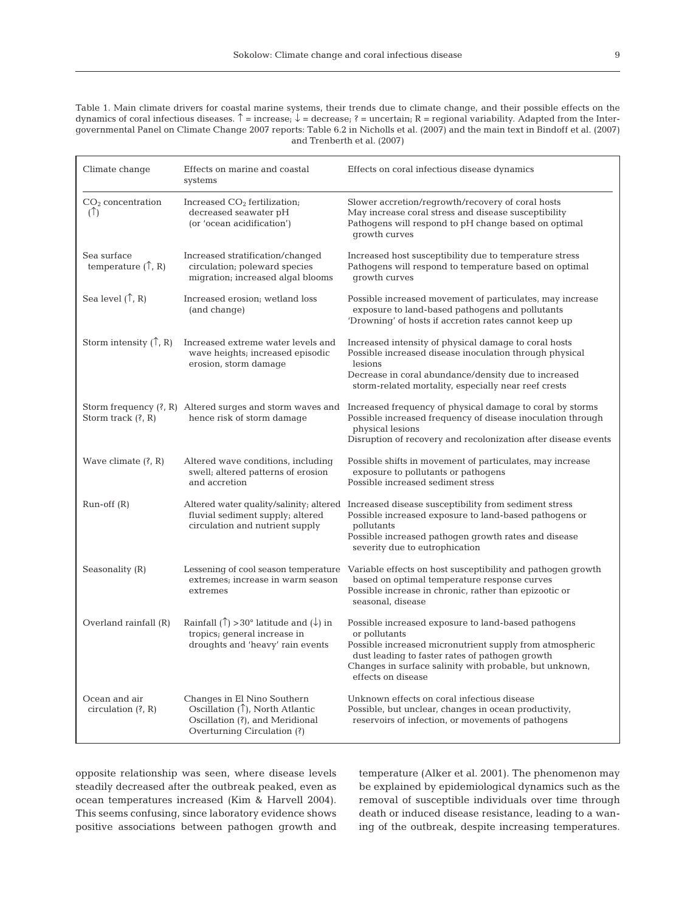Table 1. Main climate drivers for coastal marine systems, their trends due to climate change, and their possible effects on the dynamics of coral infectious diseases.  $\uparrow$  = increase;  $\downarrow$  = decrease; ? = uncertain; R = regional variability. Adapted from the Intergovernmental Panel on Climate Change 2007 reports: Table 6.2 in Nicholls et al. (2007) and the main text in Bindoff et al. (2007) and Trenberth et al. (2007)

| Climate change                             | Effects on marine and coastal<br>systems                                                                                                   | Effects on coral infectious disease dynamics                                                                                                                                                                                                                             |
|--------------------------------------------|--------------------------------------------------------------------------------------------------------------------------------------------|--------------------------------------------------------------------------------------------------------------------------------------------------------------------------------------------------------------------------------------------------------------------------|
| $CO2$ concentration<br>(T)                 | Increased $CO2$ fertilization;<br>decreased seawater pH<br>(or 'ocean acidification')                                                      | Slower accretion/regrowth/recovery of coral hosts<br>May increase coral stress and disease susceptibility<br>Pathogens will respond to pH change based on optimal<br>growth curves                                                                                       |
| Sea surface<br>temperature $(\uparrow, R)$ | Increased stratification/changed<br>circulation; poleward species<br>migration; increased algal blooms                                     | Increased host susceptibility due to temperature stress<br>Pathogens will respond to temperature based on optimal<br>growth curves                                                                                                                                       |
| Sea level $(\uparrow, R)$                  | Increased erosion; wetland loss<br>(and change)                                                                                            | Possible increased movement of particulates, may increase<br>exposure to land-based pathogens and pollutants<br>'Drowning' of hosts if accretion rates cannot keep up                                                                                                    |
| Storm intensity $(\uparrow, R)$            | Increased extreme water levels and<br>wave heights; increased episodic<br>erosion, storm damage                                            | Increased intensity of physical damage to coral hosts<br>Possible increased disease inoculation through physical<br>lesions<br>Decrease in coral abundance/density due to increased<br>storm-related mortality, especially near reef crests                              |
| Storm track $(?, R)$                       | hence risk of storm damage                                                                                                                 | Storm frequency (?, R) Altered surges and storm waves and Increased frequency of physical damage to coral by storms<br>Possible increased frequency of disease inoculation through<br>physical lesions<br>Disruption of recovery and recolonization after disease events |
| Wave climate $(?, R)$                      | Altered wave conditions, including<br>swell; altered patterns of erosion<br>and accretion                                                  | Possible shifts in movement of particulates, may increase<br>exposure to pollutants or pathogens<br>Possible increased sediment stress                                                                                                                                   |
| $Run-off(R)$                               | fluvial sediment supply; altered<br>circulation and nutrient supply                                                                        | Altered water quality/salinity; altered Increased disease susceptibility from sediment stress<br>Possible increased exposure to land-based pathogens or<br>pollutants<br>Possible increased pathogen growth rates and disease<br>severity due to eutrophication          |
| Seasonality (R)                            | extremes; increase in warm season<br>extremes                                                                                              | Lessening of cool season temperature Variable effects on host susceptibility and pathogen growth<br>based on optimal temperature response curves<br>Possible increase in chronic, rather than epizootic or<br>seasonal, disease                                          |
| Overland rainfall (R)                      | Rainfall ( $\uparrow$ ) > 30° latitude and ( $\downarrow$ ) in<br>tropics; general increase in<br>droughts and 'heavy' rain events         | Possible increased exposure to land-based pathogens<br>or pollutants<br>Possible increased micronutrient supply from atmospheric<br>dust leading to faster rates of pathogen growth<br>Changes in surface salinity with probable, but unknown,<br>effects on disease     |
| Ocean and air<br>circulation $(?, R)$      | Changes in El Nino Southern<br>Oscillation $(\uparrow)$ , North Atlantic<br>Oscillation (?), and Meridional<br>Overturning Circulation (?) | Unknown effects on coral infectious disease<br>Possible, but unclear, changes in ocean productivity,<br>reservoirs of infection, or movements of pathogens                                                                                                               |

opposite relationship was seen, where disease levels steadily decreased after the outbreak peaked, even as ocean temperatures increased (Kim & Harvell 2004). This seems confusing, since laboratory evidence shows positive associations between pathogen growth and

temperature (Alker et al. 2001). The phenomenon may be explained by epidemiological dynamics such as the removal of susceptible individuals over time through death or induced disease resistance, leading to a waning of the outbreak, despite increasing temperatures.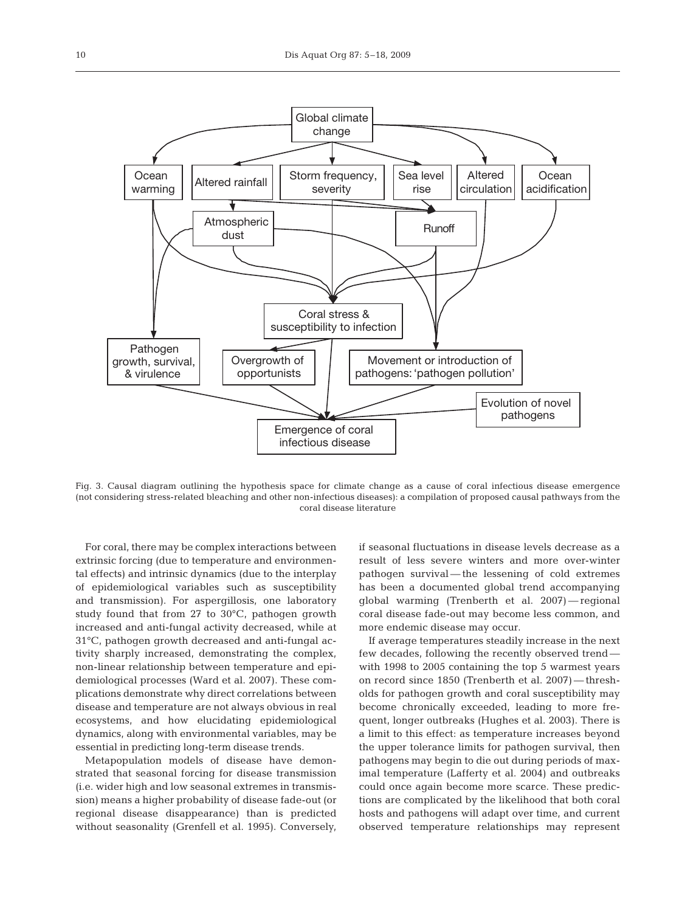

Fig. 3. Causal diagram outlining the hypothesis space for climate change as a cause of coral infectious disease emergence (not considering stress-related bleaching and other non-infectious diseases): a compilation of proposed causal pathways from the coral disease literature

For coral, there may be complex interactions between extrinsic forcing (due to temperature and environmental effects) and intrinsic dynamics (due to the interplay of epidemiological variables such as susceptibility and transmission). For aspergillosis, one laboratory study found that from 27 to 30°C, pathogen growth increased and anti-fungal activity decreased, while at 31°C, pathogen growth decreased and anti-fungal activity sharply increased, demonstrating the complex, non-linear relationship between temperature and epidemiological processes (Ward et al. 2007). These complications demonstrate why direct correlations between disease and temperature are not always obvious in real ecosystems, and how elucidating epidemiological dynamics, along with environmental variables, may be essential in predicting long-term disease trends.

Metapopulation models of disease have demonstrated that seasonal forcing for disease transmission (i.e. wider high and low seasonal extremes in transmission) means a higher probability of disease fade-out (or regional disease disappearance) than is predicted without seasonality (Grenfell et al. 1995). Conversely, if seasonal fluctuations in disease levels decrease as a result of less severe winters and more over-winter pathogen survival — the lessening of cold extremes has been a documented global trend accompanying global warming (Trenberth et al. 2007) — regional coral disease fade-out may become less common, and more endemic disease may occur.

If average temperatures steadily increase in the next few decades, following the recently observed trend with 1998 to 2005 containing the top 5 warmest years on record since 1850 (Trenberth et al. 2007) — thresholds for pathogen growth and coral susceptibility may become chronically exceeded, leading to more frequent, longer outbreaks (Hughes et al. 2003). There is a limit to this effect: as temperature increases beyond the upper tolerance limits for pathogen survival, then pathogens may begin to die out during periods of maximal temperature (Lafferty et al. 2004) and outbreaks could once again become more scarce. These predictions are complicated by the likelihood that both coral hosts and pathogens will adapt over time, and current observed temperature relationships may represent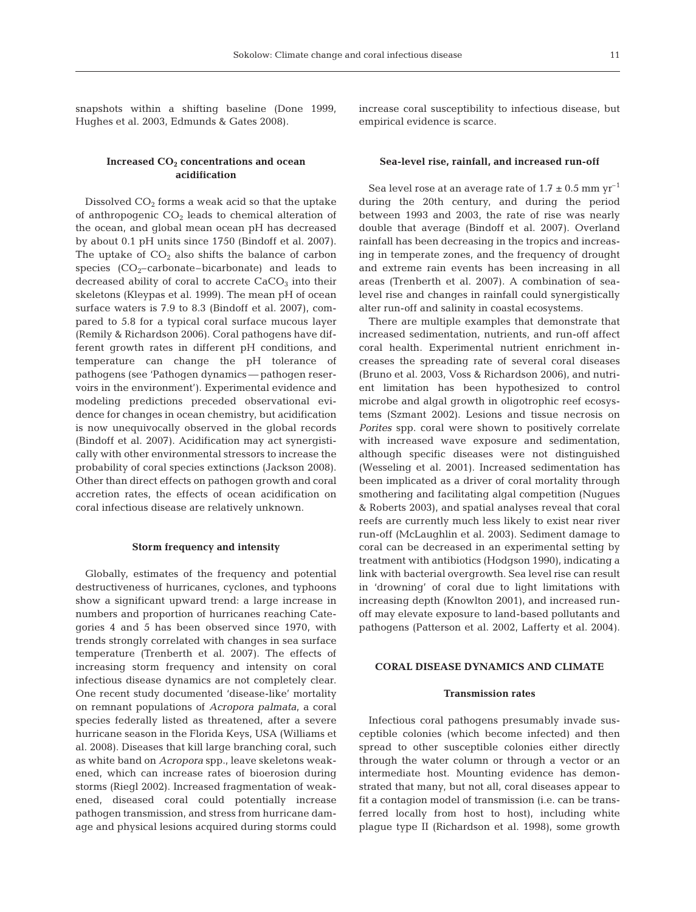snapshots within a shifting baseline (Done 1999, Hughes et al. 2003, Edmunds & Gates 2008).

## Increased CO<sub>2</sub> concentrations and ocean **acidification**

Dissolved  $CO<sub>2</sub>$  forms a weak acid so that the uptake of anthropogenic  $CO<sub>2</sub>$  leads to chemical alteration of the ocean, and global mean ocean pH has decreased by about 0.1 pH units since 1750 (Bindoff et al. 2007). The uptake of  $CO<sub>2</sub>$  also shifts the balance of carbon species  $(CO<sub>2</sub>-carbonate-bicarbonate)$  and leads to decreased ability of coral to accrete  $CaCO<sub>3</sub>$  into their skeletons (Kleypas et al. 1999). The mean pH of ocean surface waters is 7.9 to 8.3 (Bindoff et al. 2007), compared to 5.8 for a typical coral surface mucous layer (Remily & Richardson 2006). Coral pathogens have different growth rates in different pH conditions, and temperature can change the pH tolerance of pathogens (see 'Pathogen dynamics — pathogen reservoirs in the environment'). Experimental evidence and modeling predictions preceded observational evidence for changes in ocean chemistry, but acidification is now unequivocally observed in the global records (Bindoff et al. 2007). Acidification may act synergistically with other environmental stressors to increase the probability of coral species extinctions (Jackson 2008). Other than direct effects on pathogen growth and coral accretion rates, the effects of ocean acidification on coral infectious disease are relatively unknown.

#### **Storm frequency and intensity**

Globally, estimates of the frequency and potential destructiveness of hurricanes, cyclones, and typhoons show a significant upward trend: a large increase in numbers and proportion of hurricanes reaching Categories 4 and 5 has been observed since 1970, with trends strongly correlated with changes in sea surface temperature (Trenberth et al. 2007). The effects of increasing storm frequency and intensity on coral infectious disease dynamics are not completely clear. One recent study documented 'disease-like' mortality on remnant populations of *Acropora palmata*, a coral species federally listed as threatened, after a severe hurricane season in the Florida Keys, USA (Williams et al. 2008). Diseases that kill large branching coral, such as white band on *Acropora* spp., leave skeletons weakened, which can increase rates of bioerosion during storms (Riegl 2002). Increased fragmentation of weakened, diseased coral could potentially increase pathogen transmission, and stress from hurricane damage and physical lesions acquired during storms could

increase coral susceptibility to infectious disease, but empirical evidence is scarce.

#### **Sea-level rise, rainfall, and increased run-off**

Sea level rose at an average rate of  $1.7 \pm 0.5$  mm yr<sup>-1</sup> during the 20th century, and during the period between 1993 and 2003, the rate of rise was nearly double that average (Bindoff et al. 2007). Overland rainfall has been decreasing in the tropics and increasing in temperate zones, and the frequency of drought and extreme rain events has been increasing in all areas (Trenberth et al. 2007). A combination of sealevel rise and changes in rainfall could synergistically alter run-off and salinity in coastal ecosystems.

There are multiple examples that demonstrate that increased sedimentation, nutrients, and run-off affect coral health. Experimental nutrient enrichment increases the spreading rate of several coral diseases (Bruno et al. 2003, Voss & Richardson 2006), and nutrient limitation has been hypothesized to control microbe and algal growth in oligotrophic reef ecosystems (Szmant 2002). Lesions and tissue necrosis on *Porites* spp. coral were shown to positively correlate with increased wave exposure and sedimentation, although specific diseases were not distinguished (Wesseling et al. 2001). Increased sedimentation has been implicated as a driver of coral mortality through smothering and facilitating algal competition (Nugues & Roberts 2003), and spatial analyses reveal that coral reefs are currently much less likely to exist near river run-off (McLaughlin et al. 2003). Sediment damage to coral can be decreased in an experimental setting by treatment with antibiotics (Hodgson 1990), indicating a link with bacterial overgrowth. Sea level rise can result in 'drowning' of coral due to light limitations with increasing depth (Knowlton 2001), and increased runoff may elevate exposure to land-based pollutants and pathogens (Patterson et al. 2002, Lafferty et al. 2004).

#### **CORAL DISEASE DYNAMICS AND CLIMATE**

#### **Transmission rates**

Infectious coral pathogens presumably invade susceptible colonies (which become infected) and then spread to other susceptible colonies either directly through the water column or through a vector or an intermediate host. Mounting evidence has demonstrated that many, but not all, coral diseases appear to fit a contagion model of transmission (i.e. can be transferred locally from host to host), including white plague type II (Richardson et al. 1998), some growth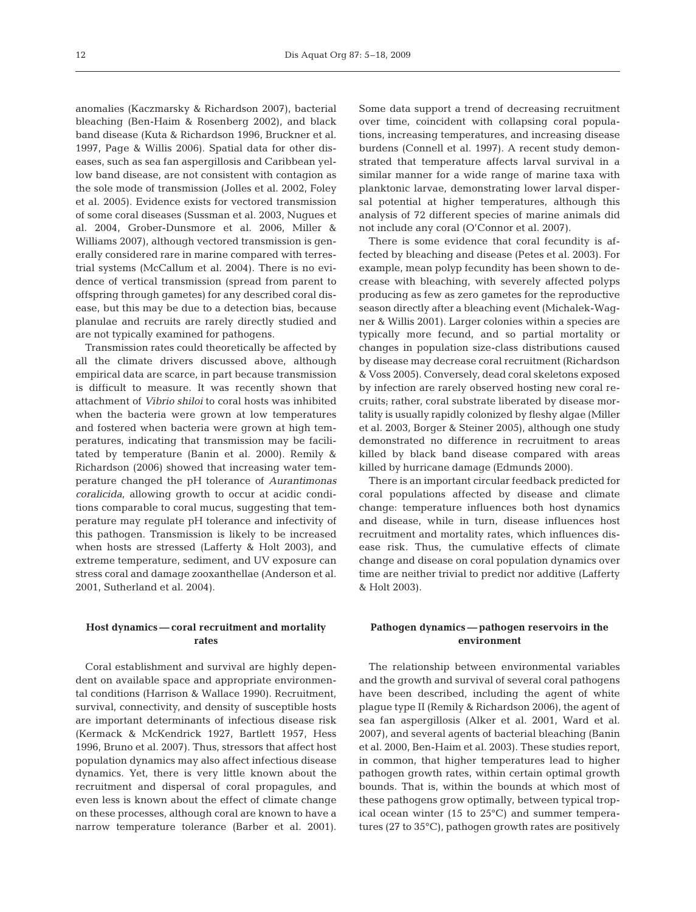anomalies (Kaczmarsky & Richardson 2007), bacterial bleaching (Ben-Haim & Rosenberg 2002), and black band disease (Kuta & Richardson 1996, Bruckner et al. 1997, Page & Willis 2006). Spatial data for other diseases, such as sea fan aspergillosis and Caribbean yellow band disease, are not consistent with contagion as the sole mode of transmission (Jolles et al. 2002, Foley et al. 2005). Evidence exists for vectored transmission of some coral diseases (Sussman et al. 2003, Nugues et al. 2004, Grober-Dunsmore et al. 2006, Miller & Williams 2007), although vectored transmission is generally considered rare in marine compared with terrestrial systems (McCallum et al. 2004). There is no evidence of vertical transmission (spread from parent to offspring through gametes) for any described coral disease, but this may be due to a detection bias, because planulae and recruits are rarely directly studied and are not typically examined for pathogens.

Transmission rates could theoretically be affected by all the climate drivers discussed above, although empirical data are scarce, in part because transmission is difficult to measure. It was recently shown that attachment of *Vibrio shiloi* to coral hosts was inhibited when the bacteria were grown at low temperatures and fostered when bacteria were grown at high temperatures, indicating that transmission may be facilitated by temperature (Banin et al. 2000). Remily & Richardson (2006) showed that increasing water temperature changed the pH tolerance of *Aurantimonas coralicida*, allowing growth to occur at acidic conditions comparable to coral mucus, suggesting that temperature may regulate pH tolerance and infectivity of this pathogen. Transmission is likely to be increased when hosts are stressed (Lafferty & Holt 2003), and extreme temperature, sediment, and UV exposure can stress coral and damage zooxanthellae (Anderson et al. 2001, Sutherland et al. 2004).

## **Host dynamics — coral recruitment and mortality rates**

Coral establishment and survival are highly dependent on available space and appropriate environmental conditions (Harrison & Wallace 1990). Recruitment, survival, connectivity, and density of susceptible hosts are important determinants of infectious disease risk (Kermack & McKendrick 1927, Bartlett 1957, Hess 1996, Bruno et al. 2007). Thus, stressors that affect host population dynamics may also affect infectious disease dynamics. Yet, there is very little known about the recruitment and dispersal of coral propagules, and even less is known about the effect of climate change on these processes, although coral are known to have a narrow temperature tolerance (Barber et al. 2001). Some data support a trend of decreasing recruitment over time, coincident with collapsing coral populations, increasing temperatures, and increasing disease burdens (Connell et al. 1997). A recent study demonstrated that temperature affects larval survival in a similar manner for a wide range of marine taxa with planktonic larvae, demonstrating lower larval dispersal potential at higher temperatures, although this analysis of 72 different species of marine animals did not include any coral (O'Connor et al. 2007).

There is some evidence that coral fecundity is affected by bleaching and disease (Petes et al. 2003). For example, mean polyp fecundity has been shown to decrease with bleaching, with severely affected polyps producing as few as zero gametes for the reproductive season directly after a bleaching event (Michalek-Wagner & Willis 2001). Larger colonies within a species are typically more fecund, and so partial mortality or changes in population size-class distributions caused by disease may decrease coral recruitment (Richardson & Voss 2005). Conversely, dead coral skeletons exposed by infection are rarely observed hosting new coral recruits; rather, coral substrate liberated by disease mortality is usually rapidly colonized by fleshy algae (Miller et al. 2003, Borger & Steiner 2005), although one study demonstrated no difference in recruitment to areas killed by black band disease compared with areas killed by hurricane damage (Edmunds 2000).

There is an important circular feedback predicted for coral populations affected by disease and climate change: temperature influences both host dynamics and disease, while in turn, disease influences host recruitment and mortality rates, which influences disease risk. Thus, the cumulative effects of climate change and disease on coral population dynamics over time are neither trivial to predict nor additive (Lafferty & Holt 2003).

# **Pathogen dynamics — pathogen reservoirs in the environment**

The relationship between environmental variables and the growth and survival of several coral pathogens have been described, including the agent of white plague type II (Remily & Richardson 2006), the agent of sea fan aspergillosis (Alker et al. 2001, Ward et al. 2007), and several agents of bacterial bleaching (Banin et al. 2000, Ben-Haim et al. 2003). These studies report, in common, that higher temperatures lead to higher pathogen growth rates, within certain optimal growth bounds. That is, within the bounds at which most of these pathogens grow optimally, between typical tropical ocean winter (15 to 25°C) and summer temperatures (27 to 35°C), pathogen growth rates are positively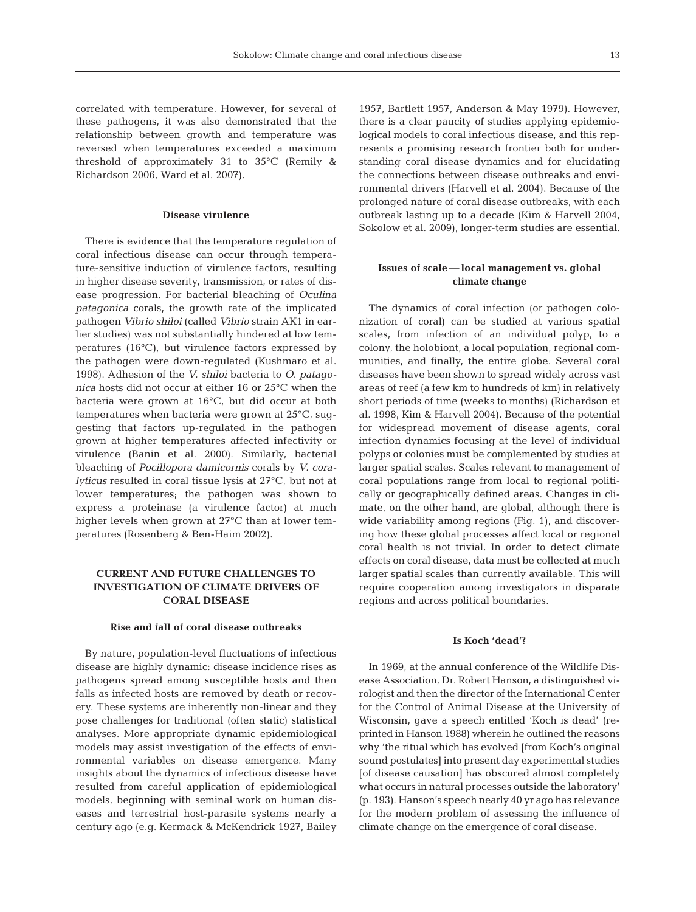13

correlated with temperature. However, for several of these pathogens, it was also demonstrated that the relationship between growth and temperature was reversed when temperatures exceeded a maximum threshold of approximately 31 to 35°C (Remily & Richardson 2006, Ward et al. 2007).

## **Disease virulence**

There is evidence that the temperature regulation of coral infectious disease can occur through temperature-sensitive induction of virulence factors, resulting in higher disease severity, transmission, or rates of disease progression. For bacterial bleaching of *Oculina patagonica* corals, the growth rate of the implicated pathogen *Vibrio shiloi* (called *Vibrio* strain AK1 in earlier studies) was not substantially hindered at low temperatures (16°C), but virulence factors expressed by the pathogen were down-regulated (Kushmaro et al. 1998). Adhesion of the *V. shiloi* bacteria to *O. patagonica* hosts did not occur at either 16 or 25°C when the bacteria were grown at 16°C, but did occur at both temperatures when bacteria were grown at 25°C, suggesting that factors up-regulated in the pathogen grown at higher temperatures affected infectivity or virulence (Banin et al. 2000). Similarly, bacterial bleaching of *Pocillopora damicornis* corals by *V. coralyticus* resulted in coral tissue lysis at 27°C, but not at lower temperatures; the pathogen was shown to express a proteinase (a virulence factor) at much higher levels when grown at 27°C than at lower temperatures (Rosenberg & Ben-Haim 2002).

## **CURRENT AND FUTURE CHALLENGES TO INVESTIGATION OF CLIMATE DRIVERS OF CORAL DISEASE**

## **Rise and fall of coral disease outbreaks**

By nature, population-level fluctuations of infectious disease are highly dynamic: disease incidence rises as pathogens spread among susceptible hosts and then falls as infected hosts are removed by death or recovery. These systems are inherently non-linear and they pose challenges for traditional (often static) statistical analyses. More appropriate dynamic epidemiological models may assist investigation of the effects of environmental variables on disease emergence. Many insights about the dynamics of infectious disease have resulted from careful application of epidemiological models, beginning with seminal work on human diseases and terrestrial host-parasite systems nearly a century ago (e.g. Kermack & McKendrick 1927, Bailey

1957, Bartlett 1957, Anderson & May 1979). However, there is a clear paucity of studies applying epidemiological models to coral infectious disease, and this represents a promising research frontier both for understanding coral disease dynamics and for elucidating the connections between disease outbreaks and environmental drivers (Harvell et al. 2004). Because of the prolonged nature of coral disease outbreaks, with each outbreak lasting up to a decade (Kim & Harvell 2004, Sokolow et al. 2009), longer-term studies are essential.

## **Issues of scale — local management vs. global climate change**

The dynamics of coral infection (or pathogen colonization of coral) can be studied at various spatial scales, from infection of an individual polyp, to a colony, the holobiont, a local population, regional communities, and finally, the entire globe. Several coral diseases have been shown to spread widely across vast areas of reef (a few km to hundreds of km) in relatively short periods of time (weeks to months) (Richardson et al. 1998, Kim & Harvell 2004). Because of the potential for widespread movement of disease agents, coral infection dynamics focusing at the level of individual polyps or colonies must be complemented by studies at larger spatial scales. Scales relevant to management of coral populations range from local to regional politically or geographically defined areas. Changes in climate, on the other hand, are global, although there is wide variability among regions (Fig. 1), and discovering how these global processes affect local or regional coral health is not trivial. In order to detect climate effects on coral disease, data must be collected at much larger spatial scales than currently available. This will require cooperation among investigators in disparate regions and across political boundaries.

### **Is Koch 'dead'?**

In 1969, at the annual conference of the Wildlife Disease Association, Dr. Robert Hanson, a distinguished virologist and then the director of the International Center for the Control of Animal Disease at the University of Wisconsin, gave a speech entitled 'Koch is dead' (reprinted in Hanson 1988) wherein he outlined the reasons why 'the ritual which has evolved [from Koch's original sound postulates] into present day experimental studies [of disease causation] has obscured almost completely what occurs in natural processes outside the laboratory' (p. 193). Hanson's speech nearly 40 yr ago has relevance for the modern problem of assessing the influence of climate change on the emergence of coral disease.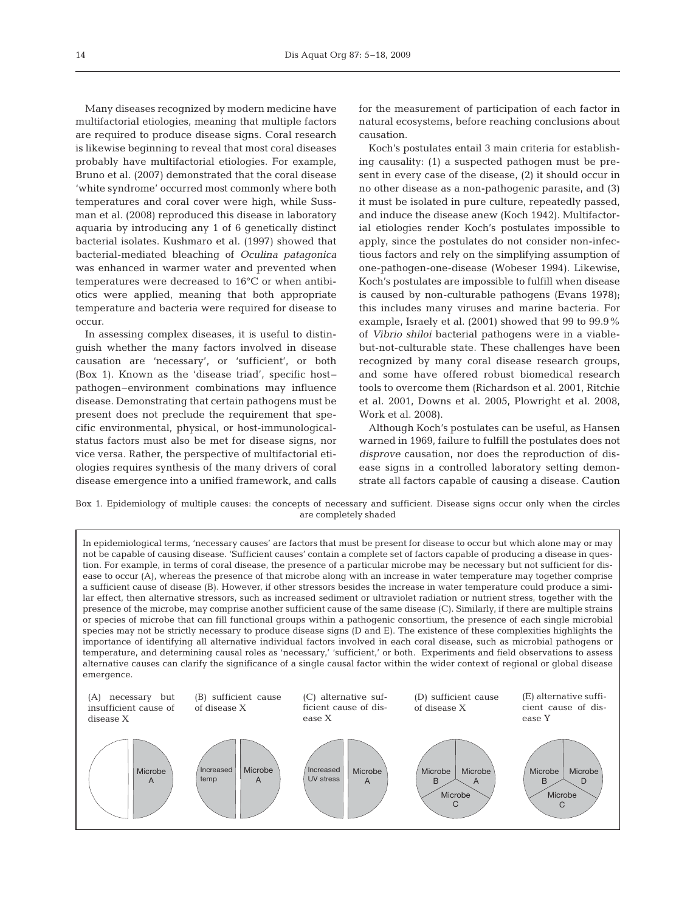Many diseases recognized by modern medicine have multifactorial etiologies, meaning that multiple factors are required to produce disease signs. Coral research is likewise beginning to reveal that most coral diseases probably have multifactorial etiologies. For example, Bruno et al. (2007) demonstrated that the coral disease 'white syndrome' occurred most commonly where both temperatures and coral cover were high, while Sussman et al. (2008) reproduced this disease in laboratory aquaria by introducing any 1 of 6 genetically distinct bacterial isolates. Kushmaro et al. (1997) showed that bacterial-mediated bleaching of *Oculina patagonica* was enhanced in warmer water and prevented when temperatures were decreased to 16°C or when antibiotics were applied, meaning that both appropriate temperature and bacteria were required for disease to occur.

In assessing complex diseases, it is useful to distinguish whether the many factors involved in disease causation are 'necessary', or 'sufficient', or both (Box 1). Known as the 'disease triad', specific host– pathogen–environment combinations may influence disease. Demonstrating that certain pathogens must be present does not preclude the requirement that specific environmental, physical, or host-immunologicalstatus factors must also be met for disease signs, nor vice versa. Rather, the perspective of multifactorial etiologies requires synthesis of the many drivers of coral disease emergence into a unified framework, and calls

for the measurement of participation of each factor in natural ecosystems, before reaching conclusions about causation.

Koch's postulates entail 3 main criteria for establishing causality: (1) a suspected pathogen must be present in every case of the disease, (2) it should occur in no other disease as a non-pathogenic parasite, and (3) it must be isolated in pure culture, repeatedly passed, and induce the disease anew (Koch 1942). Multifactorial etiologies render Koch's postulates impossible to apply, since the postulates do not consider non-infectious factors and rely on the simplifying assumption of one-pathogen-one-disease (Wobeser 1994). Likewise, Koch's postulates are impossible to fulfill when disease is caused by non-culturable pathogens (Evans 1978); this includes many viruses and marine bacteria. For example, Israely et al. (2001) showed that 99 to 99.9% of *Vibrio shiloi* bacterial pathogens were in a viablebut-not-culturable state. These challenges have been recognized by many coral disease research groups, and some have offered robust biomedical research tools to overcome them (Richardson et al. 2001, Ritchie et al. 2001, Downs et al. 2005, Plowright et al. 2008, Work et al. 2008).

Although Koch's postulates can be useful, as Hansen warned in 1969, failure to fulfill the postulates does not *disprove* causation, nor does the reproduction of disease signs in a controlled laboratory setting demonstrate all factors capable of causing a disease. Caution

Box 1. Epidemiology of multiple causes: the concepts of necessary and sufficient. Disease signs occur only when the circles are completely shaded

In epidemiological terms, 'necessary causes' are factors that must be present for disease to occur but which alone may or may not be capable of causing disease. 'Sufficient causes' contain a complete set of factors capable of producing a disease in question. For example, in terms of coral disease, the presence of a particular microbe may be necessary but not sufficient for disease to occur (A), whereas the presence of that microbe along with an increase in water temperature may together comprise a sufficient cause of disease (B). However, if other stressors besides the increase in water temperature could produce a similar effect, then alternative stressors, such as increased sediment or ultraviolet radiation or nutrient stress, together with the presence of the microbe, may comprise another sufficient cause of the same disease (C). Similarly, if there are multiple strains or species of microbe that can fill functional groups within a pathogenic consortium, the presence of each single microbial species may not be strictly necessary to produce disease signs (D and E). The existence of these complexities highlights the importance of identifying all alternative individual factors involved in each coral disease, such as microbial pathogens or temperature, and determining causal roles as 'necessary,' 'sufficient,' or both. Experiments and field observations to assess alternative causes can clarify the significance of a single causal factor within the wider context of regional or global disease emergence.

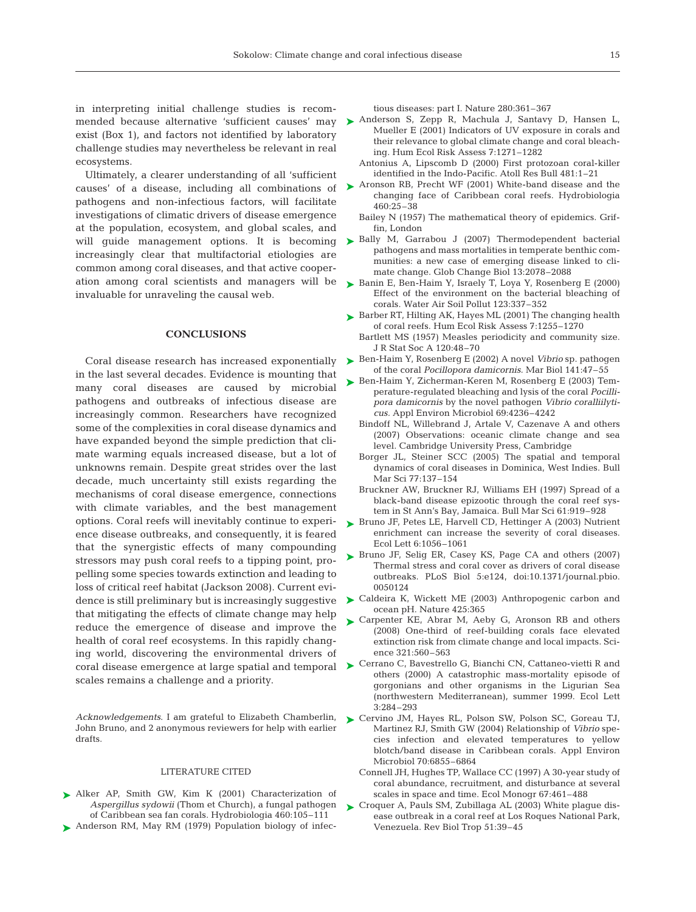in interpreting initial challenge studies is recomexist (Box 1), and factors not identified by laboratory challenge studies may nevertheless be relevant in real ecosystems.

Ultimately, a clearer understanding of all 'sufficient causes' of a disease, including all combinations of pathogens and non-infectious factors, will facilitate investigations of climatic drivers of disease emergence at the population, ecosystem, and global scales, and will guide management options. It is becoming increasingly clear that multifactorial etiologies are common among coral diseases, and that active cooperation among coral scientists and managers will be invaluable for unraveling the causal web.

#### **CONCLUSIONS**

Coral disease research has increased exponentially in the last several decades. Evidence is mounting that many coral diseases are caused by microbial pathogens and outbreaks of infectious disease are increasingly common. Researchers have recognized some of the complexities in coral disease dynamics and have expanded beyond the simple prediction that climate warming equals increased disease, but a lot of unknowns remain. Despite great strides over the last decade, much uncertainty still exists regarding the mechanisms of coral disease emergence, connections with climate variables, and the best management options. Coral reefs will inevitably continue to experience disease outbreaks, and consequently, it is feared that the synergistic effects of many compounding stressors may push coral reefs to a tipping point, propelling some species towards extinction and leading to loss of critical reef habitat (Jackson 2008). Current evithat mitigating the effects of climate change may help reduce the emergence of disease and improve the health of coral reef ecosystems. In this rapidly changing world, discovering the environmental drivers of scales remains a challenge and a priority.

*Acknowledgements*. I am grateful to Elizabeth Chamberlin, John Bruno, and 2 anonymous reviewers for help with earlier drafts.

#### LITERATURE CITED

Alker AP, Smith GW, Kim K (2001) Characterization of ➤ *Aspergillus sydowii* (Thom et Church), a fungal pathogen of Caribbean sea fan corals. Hydrobiologia 460:105–111 ▶ Anderson RM, May RM (1979) Population biology of infectious diseases: part I. Nature 280:361–367

- mended because alternative 'sufficient causes' may  $\blacktriangleright$  Anderson S, Zepp R, Machula J, Santavy D, Hansen L, Mueller E (2001) Indicators of UV exposure in corals and their relevance to global climate change and coral bleaching. Hum Ecol Risk Assess 7:1271–1282
	- Antonius A, Lipscomb D (2000) First protozoan coral-killer identified in the Indo-Pacific. Atoll Res Bull 481:1–21
	- ► Aronson RB, Precht WF (2001) White-band disease and the changing face of Caribbean coral reefs. Hydrobiologia 460:25–38
		- Bailey N (1957) The mathematical theory of epidemics. Griffin, London
	- ▶ Bally M, Garrabou J (2007) Thermodependent bacterial pathogens and mass mortalities in temperate benthic communities: a new case of emerging disease linked to climate change. Glob Change Biol 13:2078–2088
	- ► Banin E, Ben-Haim Y, Israely T, Loya Y, Rosenberg E (2000) Effect of the environment on the bacterial bleaching of corals. Water Air Soil Pollut 123:337–352
	- ► Barber RT, Hilting AK, Hayes ML (2001) The changing health of coral reefs. Hum Ecol Risk Assess 7:1255–1270
		- Bartlett MS (1957) Measles periodicity and community size. J R Stat Soc A 120:48–70
	- ► Ben-Haim Y, Rosenberg E (2002) A novel *Vibrio* sp. pathogen of the coral *Pocillopora damicornis.* Mar Biol 141:47–55
	- ► Ben-Haim Y, Zicherman-Keren M, Rosenberg E (2003) Temperature-regulated bleaching and lysis of the coral *Pocillipora damicornis* by the novel pathogen *Vibrio coralliilyticus.* Appl Environ Microbiol 69:4236–4242
		- Bindoff NL, Willebrand J, Artale V, Cazenave A and others (2007) Observations: oceanic climate change and sea level. Cambridge University Press, Cambridge
		- Borger JL, Steiner SCC (2005) The spatial and temporal dynamics of coral diseases in Dominica, West Indies. Bull Mar Sci 77:137–154
		- Bruckner AW, Bruckner RJ, Williams EH (1997) Spread of a black-band disease epizootic through the coral reef system in St Ann's Bay, Jamaica. Bull Mar Sci 61:919–928
	- ► Bruno JF, Petes LE, Harvell CD, Hettinger A (2003) Nutrient enrichment can increase the severity of coral diseases. Ecol Lett 6:1056–1061
	- ▶ Bruno JF, Selig ER, Casey KS, Page CA and others (2007) Thermal stress and coral cover as drivers of coral disease outbreaks. PLoS Biol 5:e124, doi:10.1371/journal.pbio. 0050124
- dence is still preliminary but is increasingly suggestive  $\quadblacktriangleright$  Caldeira K, Wickett ME (2003) Anthropogenic carbon and ocean pH. Nature 425:365
	- ► Carpenter KE, Abrar M, Aeby G, Aronson RB and others (2008) One-third of reef-building corals face elevated extinction risk from climate change and local impacts. Science 321:560–563
- coral disease emergence at large spatial and temporal > Cerrano C, Bavestrello G, Bianchi CN, Cattaneo-vietti R and others (2000) A catastrophic mass-mortality episode of gorgonians and other organisms in the Ligurian Sea (northwestern Mediterranean), summer 1999. Ecol Lett 3:284–293
	- ▶ Cervino JM, Hayes RL, Polson SW, Polson SC, Goreau TJ, Martinez RJ, Smith GW (2004) Relationship of *Vibrio* species infection and elevated temperatures to yellow blotch/band disease in Caribbean corals. Appl Environ Microbiol 70:6855–6864
		- Connell JH, Hughes TP, Wallace CC (1997) A 30-year study of coral abundance, recruitment, and disturbance at several scales in space and time. Ecol Monogr 67:461–488
	- ► Croquer A, Pauls SM, Zubillaga AL (2003) White plague disease outbreak in a coral reef at Los Roques National Park, Venezuela. Rev Biol Trop 51:39–45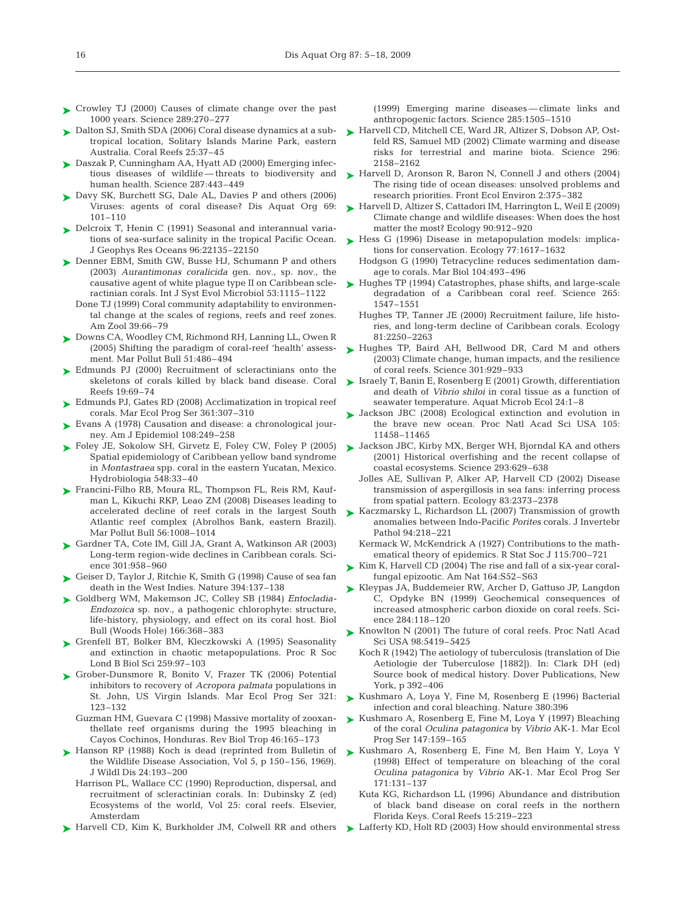- ► Crowley TJ (2000) Causes of climate change over the past 1000 years. Science 289:270–277
- ► Dalton SJ, Smith SDA (2006) Coral disease dynamics at a subtropical location, Solitary Islands Marine Park, eastern Australia. Coral Reefs 25:37–45
- ► Daszak P, Cunningham AA, Hyatt AD (2000) Emerging infectious diseases of wildlife — threats to biodiversity and human health. Science 287:443–449
- ► Davy SK, Burchett SG, Dale AL, Davies P and others (2006) Viruses: agents of coral disease? Dis Aquat Org 69: 101–110
- ► Delcroix T, Henin C (1991) Seasonal and interannual variations of sea-surface salinity in the tropical Pacific Ocean. J Geophys Res Oceans 96:22135–22150
- ► Denner EBM, Smith GW, Busse HJ, Schumann P and others (2003) *Aurantimonas coralicida* gen. nov., sp. nov., the causative agent of white plague type II on Caribbean scleractinian corals. Int J Syst Evol Microbiol 53:1115–1122
	- Done TJ (1999) Coral community adaptability to environmental change at the scales of regions, reefs and reef zones. Am Zool 39:66–79
- ▶ Downs CA, Woodley CM, Richmond RH, Lanning LL, Owen R (2005) Shifting the paradigm of coral-reef 'health' assessment. Mar Pollut Bull 51:486–494
- ► Edmunds PJ (2000) Recruitment of scleractinians onto the skeletons of corals killed by black band disease. Coral Reefs 19:69–74
- ► Edmunds PJ, Gates RD (2008) Acclimatization in tropical reef corals. Mar Ecol Prog Ser 361:307–310
- ► Evans A (1978) Causation and disease: a chronological journey. Am J Epidemiol 108:249–258
- ► Foley JE, Sokolow SH, Girvetz E, Foley CW, Foley P (2005) Spatial epidemiology of Caribbean yellow band syndrome in *Montastraea* spp. coral in the eastern Yucatan, Mexico. Hydrobiologia 548:33–40
- ► Francini-Filho RB, Moura RL, Thompson FL, Reis RM, Kaufman L, Kikuchi RKP, Leao ZM (2008) Diseases leading to accelerated decline of reef corals in the largest South Atlantic reef complex (Abrolhos Bank, eastern Brazil). Mar Pollut Bull 56:1008–1014
- ► Gardner TA, Cote IM, Gill JA, Grant A, Watkinson AR (2003) Long-term region-wide declines in Caribbean corals. Science 301:958–960
- Geiser D, Taylor J, Ritchie K, Smith G (1998) Cause of sea fan ➤ death in the West Indies. Nature 394:137–138
- Goldberg WM, Makemson JC, Colley SB (1984) *Entocladia-*➤ *Endozoica* sp. nov., a pathogenic chlorophyte: structure, life-history, physiology, and effect on its coral host. Biol Bull (Woods Hole) 166:368–383
- ► Grenfell BT, Bolker BM, Kleczkowski A (1995) Seasonality and extinction in chaotic metapopulations. Proc R Soc Lond B Biol Sci 259:97–103
- ► Grober-Dunsmore R, Bonito V, Frazer TK (2006) Potential inhibitors to recovery of *Acropora palmata* populations in St. John, US Virgin Islands. Mar Ecol Prog Ser 321: 123–132
	- Guzman HM, Guevara C (1998) Massive mortality of zooxanthellate reef organisms during the 1995 bleaching in Cayos Cochinos, Honduras. Rev Biol Trop 46:165–173
- ▶ Hanson RP (1988) Koch is dead (reprinted from Bulletin of the Wildlife Disease Association, Vol 5, p 150–156, 1969). J Wildl Dis 24:193–200
	- Harrison PL, Wallace CC (1990) Reproduction, dispersal, and recruitment of scleractinian corals. In: Dubinsky Z (ed) Ecosystems of the world, Vol 25: coral reefs. Elsevier, Amsterdam
- ► Harvell CD, Kim K, Burkholder JM, Colwell RR and others

(1999) Emerging marine diseases — climate links and anthropogenic factors. Science 285:1505–1510

- ► Harvell CD, Mitchell CE, Ward JR, Altizer S, Dobson AP, Ostfeld RS, Samuel MD (2002) Climate warming and disease risks for terrestrial and marine biota. Science 296: 2158–2162
- ► Harvell D, Aronson R, Baron N, Connell J and others (2004) The rising tide of ocean diseases: unsolved problems and research priorities. Front Ecol Environ 2:375–382
- ► Harvell D, Altizer S, Cattadori IM, Harrington L, Weil E (2009) Climate change and wildlife diseases: When does the host matter the most? Ecology 90:912–920
- ► Hess G (1996) Disease in metapopulation models: implications for conservation. Ecology 77:1617–1632
	- Hodgson G (1990) Tetracycline reduces sedimentation damage to corals. Mar Biol 104:493–496
- ► Hughes TP (1994) Catastrophes, phase shifts, and large-scale degradation of a Caribbean coral reef. Science 265: 1547–1551
	- Hughes TP, Tanner JE (2000) Recruitment failure, life histories, and long-term decline of Caribbean corals. Ecology 81:2250–2263
- ► Hughes TP, Baird AH, Bellwood DR, Card M and others (2003) Climate change, human impacts, and the resilience of coral reefs. Science 301:929–933
- ► Israely T, Banin E, Rosenberg E (2001) Growth, differentiation and death of *Vibrio shiloi* in coral tissue as a function of seawater temperature. Aquat Microb Ecol 24:1–8
- Jackson JBC (2008) Ecological extinction and evolution in ➤ the brave new ocean. Proc Natl Acad Sci USA 105: 11458–11465
- ► Jackson JBC, Kirby MX, Berger WH, Bjorndal KA and others (2001) Historical overfishing and the recent collapse of coastal ecosystems. Science 293:629–638
	- Jolles AE, Sullivan P, Alker AP, Harvell CD (2002) Disease transmission of aspergillosis in sea fans: inferring process from spatial pattern. Ecology 83:2373–2378
- ► Kaczmarsky L, Richardson LL (2007) Transmission of growth anomalies between Indo-Pacific *Porites* corals. J Invertebr Pathol 94:218–221
	- Kermack W, McKendrick A (1927) Contributions to the mathematical theory of epidemics. R Stat Soc J 115:700–721
- ► Kim K, Harvell CD (2004) The rise and fall of a six-year coralfungal epizootic. Am Nat 164:S52–S63
- ► Kleypas JA, Buddemeier RW, Archer D, Gattuso JP, Langdon C, Opdyke BN (1999) Geochemical consequences of increased atmospheric carbon dioxide on coral reefs. Science 284:118–120
- ► Knowlton N (2001) The future of coral reefs. Proc Natl Acad Sci USA 98:5419–5425
	- Koch R (1942) The aetiology of tuberculosis (translation of Die Aetiologie der Tuberculose [1882]). In: Clark DH (ed) Source book of medical history. Dover Publications, New York, p 392–406
- ► Kushmaro A, Loya Y, Fine M, Rosenberg E (1996) Bacterial infection and coral bleaching. Nature 380:396
- ► Kushmaro A, Rosenberg E, Fine M, Loya Y (1997) Bleaching of the coral *Oculina patagonica* by *Vibrio* AK-1. Mar Ecol Prog Ser 147:159–165
- ► Kushmaro A, Rosenberg E, Fine M, Ben Haim Y, Loya Y (1998) Effect of temperature on bleaching of the coral *Oculina patagonica* by *Vibrio* AK-1. Mar Ecol Prog Ser 171:131–137
	- Kuta KG, Richardson LL (1996) Abundance and distribution of black band disease on coral reefs in the northern Florida Keys. Coral Reefs 15:219–223
- ► Lafferty KD, Holt RD (2003) How should environmental stress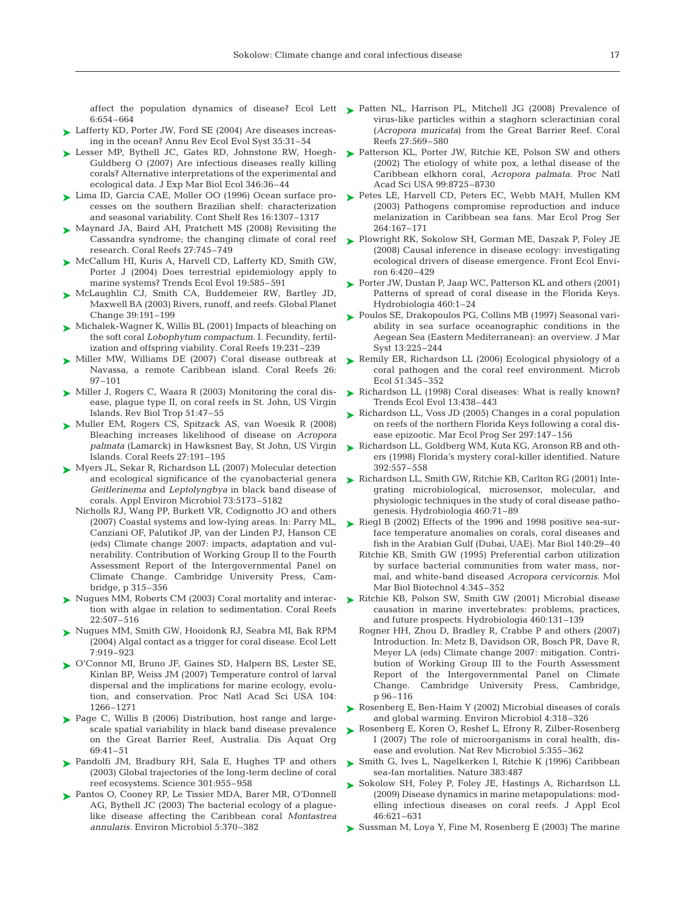6:654–664

- ► Lafferty KD, Porter JW, Ford SE (2004) Are diseases increasing in the ocean? Annu Rev Ecol Evol Syst 35:31–54
- ► Lesser MP, Bythell JC, Gates RD, Johnstone RW, Hoegh-Guldberg O (2007) Are infectious diseases really killing corals? Alternative interpretations of the experimental and ecological data. J Exp Mar Biol Ecol 346:36–44
- ► Lima ID, Garcia CAE, Moller OO (1996) Ocean surface processes on the southern Brazilian shelf: characterization and seasonal variability. Cont Shelf Res 16:1307–1317
- ► Maynard JA, Baird AH, Pratchett MS (2008) Revisiting the Cassandra syndrome; the changing climate of coral reef research. Coral Reefs 27:745–749
- ► McCallum HI, Kuris A, Harvell CD, Lafferty KD, Smith GW, Porter J (2004) Does terrestrial epidemiology apply to marine systems? Trends Ecol Evol 19:585–591
- McLaughlin CJ, Smith CA, Buddemeier RW, Bartley JD, ➤ Maxwell BA (2003) Rivers, runoff, and reefs. Global Planet Change 39:191–199
- ► Michalek-Wagner K, Willis BL (2001) Impacts of bleaching on the soft coral *Lobophytum compactum*. I. Fecundity, fertilization and offspring viability. Coral Reefs 19:231–239
- ► Miller MW, Williams DE (2007) Coral disease outbreak at Navassa, a remote Caribbean island. Coral Reefs 26: 97–101
- ► Miller J, Rogers C, Waara R (2003) Monitoring the coral disease, plague type II, on coral reefs in St. John, US Virgin Islands. Rev Biol Trop 51:47–55
- ► Muller EM, Rogers CS, Spitzack AS, van Woesik R (2008) Bleaching increases likelihood of disease on *Acropora palmata* (Lamarck) in Hawksnest Bay, St John, US Virgin Islands. Coral Reefs 27:191–195
- Myers JL, Sekar R, Richardson LL (2007) Molecular detection ➤ and ecological significance of the cyanobacterial genera *Geitlerinema* and *Leptolyngbya* in black band disease of corals. Appl Environ Microbiol 73:5173–5182
	- Nicholls RJ, Wang PP, Burkett VR, Codignotto JO and others (2007) Coastal systems and low-lying areas. In: Parry ML, Canziani OF, Palutikof JP, van der Linden PJ, Hanson CE (eds) Climate change 2007: impacts, adaptation and vulnerability. Contribution of Working Group II to the Fourth Assessment Report of the Intergovernmental Panel on Climate Change. Cambridge University Press, Cambridge, p 315–356
- ► Nugues MM, Roberts CM (2003) Coral mortality and interaction with algae in relation to sedimentation. Coral Reefs 22:507–516
- ► Nugues MM, Smith GW, Hooidonk RJ, Seabra MI, Bak RPM (2004) Algal contact as a trigger for coral disease. Ecol Lett 7:919–923
- O'Connor MI, Bruno JF, Gaines SD, Halpern BS, Lester SE, ➤ Kinlan BP, Weiss JM (2007) Temperature control of larval dispersal and the implications for marine ecology, evolution, and conservation. Proc Natl Acad Sci USA 104: 1266–1271
- ▶ Page C, Willis B (2006) Distribution, host range and largescale spatial variability in black band disease prevalence on the Great Barrier Reef, Australia. Dis Aquat Org 69:41–51
- ▶ Pandolfi JM, Bradbury RH, Sala E, Hughes TP and others (2003) Global trajectories of the long-term decline of coral reef ecosystems. Science 301:955–958
- ▶ Pantos O, Cooney RP, Le Tissier MDA, Barer MR, O'Donnell AG, Bythell JC (2003) The bacterial ecology of a plaguelike disease affecting the Caribbean coral *Montastrea annularis.* Environ Microbiol 5:370–382
- affect the population dynamics of disease? Ecol Lett Patten NL, Harrison PL, Mitchell JG (2008) Prevalence of virus-like particles within a staghorn scleractinian coral (*Acropora muricata*) from the Great Barrier Reef. Coral Reefs 27:569–580
	- ► Patterson KL, Porter JW, Ritchie KE, Polson SW and others (2002) The etiology of white pox, a lethal disease of the Caribbean elkhorn coral, *Acropora palmata.* Proc Natl Acad Sci USA 99:8725–8730
	- ► Petes LE, Harvell CD, Peters EC, Webb MAH, Mullen KM (2003) Pathogens compromise reproduction and induce melanization in Caribbean sea fans. Mar Ecol Prog Ser 264:167–171
	- ► Plowright RK, Sokolow SH, Gorman ME, Daszak P, Foley JE (2008) Causal inference in disease ecology: investigating ecological drivers of disease emergence. Front Ecol Environ 6:420–429
	- ► Porter JW, Dustan P, Jaap WC, Patterson KL and others (2001) Patterns of spread of coral disease in the Florida Keys. Hydrobiologia 460:1–24
	- ► Poulos SE, Drakopoulos PG, Collins MB (1997) Seasonal variability in sea surface oceanographic conditions in the Aegean Sea (Eastern Mediterranean): an overview. J Mar Syst 13:225–244
	- ▶ Remily ER, Richardson LL (2006) Ecological physiology of a coral pathogen and the coral reef environment. Microb Ecol 51:345–352
	- ► Richardson LL (1998) Coral diseases: What is really known? Trends Ecol Evol 13:438–443
	- ► Richardson LL, Voss JD (2005) Changes in a coral population on reefs of the northern Florida Keys following a coral disease epizootic. Mar Ecol Prog Ser 297:147–156
	- ▶ Richardson LL, Goldberg WM, Kuta KG, Aronson RB and others (1998) Florida's mystery coral-killer identified. Nature 392:557–558
	- ► Richardson LL, Smith GW, Ritchie KB, Carlton RG (2001) Integrating microbiological, microsensor, molecular, and physiologic techniques in the study of coral disease pathogenesis. Hydrobiologia 460:71–89
	- ► Riegl B (2002) Effects of the 1996 and 1998 positive sea-surface temperature anomalies on corals, coral diseases and fish in the Arabian Gulf (Dubai, UAE). Mar Biol 140:29–40
		- Ritchie KB, Smith GW (1995) Preferential carbon utilization by surface bacterial communities from water mass, normal, and white-band diseased *Acropora cervicornis*. Mol Mar Biol Biotechnol 4:345–352
	- ▶ Ritchie KB, Polson SW, Smith GW (2001) Microbial disease causation in marine invertebrates: problems, practices, and future prospects. Hydrobiologia 460:131–139
		- Rogner HH, Zhou D, Bradley R, Crabbe P and others (2007) Introduction. In: Metz B, Davidson OR, Bosch PR, Dave R, Meyer LA (eds) Climate change 2007: mitigation. Contribution of Working Group III to the Fourth Assessment Report of the Intergovernmental Panel on Climate Change. Cambridge University Press, Cambridge, p 96–116
	- ► Rosenberg E, Ben-Haim Y (2002) Microbial diseases of corals and global warming. Environ Microbiol 4:318–326
	- ► Rosenberg E, Koren O, Reshef L, Efrony R, Zilber-Rosenberg I (2007) The role of microorganisms in coral health, disease and evolution. Nat Rev Microbiol 5:355–362
	- ► Smith G, Ives L, Nagelkerken I, Ritchie K (1996) Caribbean sea-fan mortalities. Nature 383:487
	- ► Sokolow SH, Foley P, Foley JE, Hastings A, Richardson LL (2009) Disease dynamics in marine metapopulations: modelling infectious diseases on coral reefs. J Appl Ecol 46:621–631
	- ► Sussman M, Loya Y, Fine M, Rosenberg E (2003) The marine